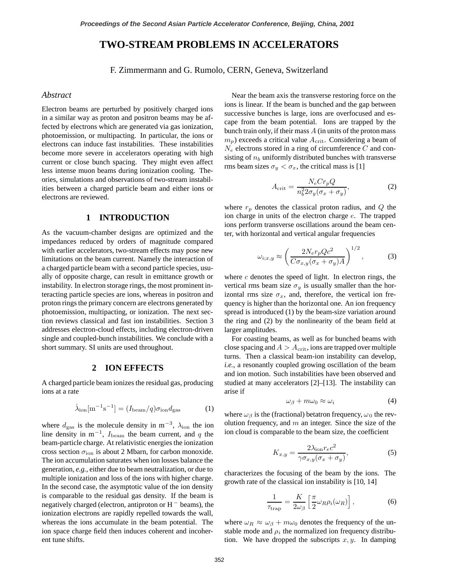# **TWO-STREAM PROBLEMS IN ACCELERATORS**

F. Zimmermann and G. Rumolo, CERN, Geneva, Switzerland

# *Abstract*

Electron beams are perturbed by positively charged ions in a similar way as proton and positron beams may be affected by electrons which are generated via gas ionization, photoemission, or multipacting. In particular, the ions or electrons can induce fast instabilities. These instabilities become more severe in accelerators operating with high current or close bunch spacing. They might even affect less intense muon beams during ionization cooling. Theories, simulations and observations of two-stream instabilities between a charged particle beam and either ions or electrons are reviewed.

## **1 INTRODUCTION**

As the vacuum-chamber designs are optimized and the impedances reduced by orders of magnitude compared with earlier accelerators, two-stream effects may pose new limitations on the beam current. Namely the interaction of a charged particle beam with a second particle species, usually of opposite charge, can result in emittance growth or instability. In electron storage rings, the most prominent interacting particle species are ions, whereas in positron and proton rings the primary concern are electrons generated by photoemission, multipacting, or ionization. The next section reviews classical and fast ion instabilities. Section 3 addresses electron-cloud effects, including electron-driven single and coupled-bunch instabilities. We conclude with a short summary. SI units are used throughout.

### **2 ION EFFECTS**

A charged particle beam ionizes the residual gas, producing ions at a rate

$$
\dot{\lambda}_{\rm ion} [\text{m}^{-1} \text{s}^{-1}] = (I_{\rm beam}/q) \sigma_{\rm ion} d_{\rm gas} \tag{1}
$$

where  $d_{\text{gas}}$  is the molecule density in m<sup>-3</sup>,  $\lambda_{\text{ion}}$  the ion line density in m<sup>-1</sup>,  $I_{\text{beam}}$  the beam current, and q the beam-particle charge. At relativistic energies the ionization cross section  $\sigma_{\text{ion}}$  is about 2 Mbarn, for carbon monoxide. The ion accumulation saturates when ion losses balance the generation, *e.g.*, either due to beam neutralization, or due to multiple ionization and loss of the ions with higher charge. In the second case, the asymptotic value of the ion density is comparable to the residual gas density. If the beam is negatively charged (electron, antiproton or  $H^-$  beams), the ionization electrons are rapidly repelled towards the wall, whereas the ions accumulate in the beam potential. The ion space charge field then induces coherent and incoherent tune shifts.

Near the beam axis the transverse restoring force on the ions is linear. If the beam is bunched and the gap between successive bunches is large, ions are overfocused and escape from the beam potential. Ions are trapped by the bunch train only, if their mass  $A$  (in units of the proton mass  $m_p$ ) exceeds a critical value  $A_{\text{crit}}$ . Considering a beam of  $N_e$  electrons stored in a ring of circumference  $C$  and consisting of  $n_b$  uniformly distributed bunches with transverse rms beam sizes  $\sigma_y < \sigma_x$ , the critical mass is [1]

$$
A_{\rm crit} = \frac{N_e C r_p Q}{n_b^2 2\sigma_y (\sigma_x + \sigma_y)},\tag{2}
$$

where  $r_p$  denotes the classical proton radius, and  $Q$  the ion charge in units of the electron charge e. The trapped ions perform transverse oscillations around the beam center, with horizontal and vertical angular frequencies

$$
\omega_{i;x,y} \approx \left(\frac{2N_e r_p Q c^2}{C\sigma_{x,y}(\sigma_x + \sigma_y)A}\right)^{1/2},\tag{3}
$$

where  $c$  denotes the speed of light. In electron rings, the vertical rms beam size  $\sigma_y$  is usually smaller than the horizontal rms size  $\sigma_x$ , and, therefore, the vertical ion frequency is higher than the horizontal one. An ion frequency spread is introduced (1) by the beam-size variation around the ring and (2) by the nonlinearity of the beam field at larger amplitudes.

For coasting beams, as well as for bunched beams with close spacing and  $A > A_{\text{crit}}$ , ions are trapped over multiple turns. Then a classical beam-ion instability can develop, *i.e.*, a resonantly coupled growing oscillation of the beam and ion motion. Such instabilities have been observed and studied at many accelerators [2]–[13]. The instability can arise if

$$
\omega_{\beta} + m\omega_0 \approx \omega_i \tag{4}
$$

where  $\omega_\beta$  is the (fractional) betatron frequency,  $\omega_0$  the revolution frequency, and  $m$  an integer. Since the size of the ion cloud is comparable to the beam size, the coefficient

$$
K_{x,y} = \frac{2\lambda_{\text{ion}}r_e c^2}{\gamma \sigma_{x,y}(\sigma_x + \sigma_y)},\tag{5}
$$

characterizes the focusing of the beam by the ions. The growth rate of the classical ion instability is [10, 14]

$$
\frac{1}{\tau_{\rm trap}} = \frac{K}{2\omega_\beta} \left[ \frac{\pi}{2} \omega_R \rho_i(\omega_R) \right],\tag{6}
$$

where  $\omega_R \approx \omega_\beta + m\omega_0$  denotes the frequency of the unstable mode and  $\rho_i$  the normalized ion frequency distribution. We have dropped the subscripts  $x, y$ . In damping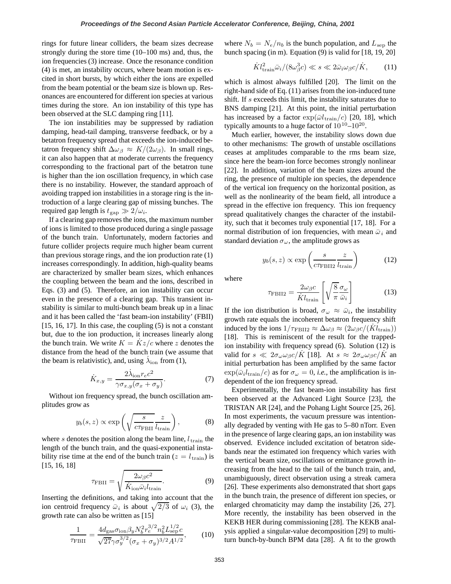rings for future linear colliders, the beam sizes decrease strongly during the store time (10–100 ms) and, thus, the ion frequencies (3) increase. Once the resonance condition (4) is met, an instability occurs, where beam motion is excited in short bursts, by which either the ions are expelled from the beam potential or the beam size is blown up. Resonances are encountered for different ion species at various times during the store. An ion instability of this type has been observed at the SLC damping ring [11].

The ion instabilities may be suppressed by radiation damping, head-tail damping, transverse feedback, or by a betatron frequency spread that exceeds the ion-induced betatron frequency shift  $\Delta \omega_\beta \approx K/(2\omega_\beta)$ . In small rings, it can also happen that at moderate currents the frequency corresponding to the fractional part of the betatron tune is higher than the ion oscillation frequency, in which case there is no instability. However, the standard approach of avoiding trapped ion instabilities in a storage ring is the introduction of a large clearing gap of missing bunches. The required gap length is  $t_{\text{gap}} \gg 2/\omega_i$ .

If a clearing gap removes the ions, the maximum number of ions is limited to those produced during a single passage of the bunch train. Unfortunately, modern factories and future collider projects require much higher beam current than previous storage rings, and the ion production rate (1) increases correspondingly. In addition, high-quality beams are characterized by smaller beam sizes, which enhances the coupling between the beam and the ions, described in Eqs. (3) and (5). Therefore, an ion instability can occur even in the presence of a clearing gap. This transient instability is similar to multi-bunch beam break up in a linac and it has been called the 'fast beam-ion instability' (FBII)  $[15, 16, 17]$ . In this case, the coupling  $(5)$  is not a constant but, due to the ion production, it increases linearly along the bunch train. We write  $K = Kz/c$  where z denotes the distance from the head of the bunch train (we assume that the beam is relativistic), and, using  $\lambda_{\text{ion}}$  from (1),

$$
\dot{K}_{x,y} = \frac{2\dot{\lambda}_{\text{ion}}r_e c^2}{\gamma \sigma_{x,y}(\sigma_x + \sigma_y)}.
$$
\n(7)

Without ion frequency spread, the bunch oscillation amplitudes grow as

$$
y_b(s, z) \propto \exp\left(\sqrt{\frac{s}{c\tau_{\rm PBH}}} \frac{z}{l_{\rm train}}\right),
$$
 (8)

where s denotes the position along the beam line,  $l_{\text{train}}$  the length of the bunch train, and the quasi-exponential instability rise time at the end of the bunch train ( $z = l_{\text{train}}$ ) is [15, 16, 18]

$$
\tau_{\rm FBII} = \sqrt{\frac{2\omega_{\beta}c^2}{\dot{K}_{\rm ion}\bar{\omega}_i l_{\rm train}}}.
$$
\n(9)

Inserting the definitions, and taking into account that the ion centroid frequency  $\bar{\omega}_i$  is about  $\sqrt{2/3}$  of  $\omega_i$  (3), the growth rate can also be written as [15]

$$
\frac{1}{\tau_{\rm PBH}} = \frac{4d_{\rm gas}\sigma_{\rm ion}\beta_y N_b^2 r_e^{3/2} n_b^2 L_{\rm sep}^{1/2} c}{\sqrt{27}\gamma \sigma_y^{3/2} (\sigma_x + \sigma_y)^{3/2} A^{1/2}},\tag{10}
$$

where  $N_b = N_e/n_b$  is the bunch population, and  $L_{\rm sep}$  the bunch spacing (in m). Equation (9) is valid for [18, 19, 20]

$$
\dot{K}l_{\text{train}}^2 \bar{\omega}_i / (8\omega_\beta^3 c) \ll s \ll 2\bar{\omega}_i \omega_\beta c / \dot{K}, \qquad (11)
$$

which is almost always fulfilled [20]. The limit on the right-hand side of Eq. (11) arises from the ion-induced tune shift. If s exceeds this limit, the instability saturates due to BNS damping [21]. At this point, the initial perturbation has increased by a factor  $\exp(\bar{\omega} l_{\text{train}}/c)$  [20, 18], which typically amounts to a huge factor of  $10^{10}$ – $10^{20}$ .

Much earlier, however, the instability slows down due to other mechanisms: The growth of unstable oscillations ceases at amplitudes comparable to the rms beam size, since here the beam-ion force becomes strongly nonlinear [22]. In addition, variation of the beam sizes around the ring, the presence of multiple ion species, the dependence of the vertical ion frequency on the horizontal position, as well as the nonlinearity of the beam field, all introduce a spread in the effective ion frequency. This ion frequency spread qualitatively changes the character of the instability, such that it becomes truly exponential [17, 18]. For a normal distribution of ion frequencies, with mean  $\bar{\omega}_i$  and standard deviation  $\sigma_{\omega}$ , the amplitude grows as

$$
y_b(s, z) \propto \exp\left(\frac{s}{c\tau_{\text{FBII2}}} \frac{z}{l_{\text{train}}}\right)
$$
 (12)

where

$$
\tau_{\rm FBII2} = \frac{2\omega_{\beta}c}{\dot{K}l_{\rm train}} \left[ \sqrt{\frac{8}{\pi}} \frac{\sigma_{\omega}}{\bar{\omega}_i} \right]
$$
(13)

If the ion distribution is broad,  $\sigma_{\omega} \approx \bar{\omega}_i$ , the instability growth rate equals the incoherent betatron frequency shift induced by the ions  $1/\tau_{\rm FBII2} \approx \Delta \omega_{\beta} \approx (2\omega_{\beta} c/(K l_{\rm train}))$ [18]. This is reminiscent of the result for the trappedion instability with frequency spread (6). Solution (12) is valid for  $s \ll 2\sigma_\omega \omega_\beta c/K$  [18]. At  $s \approx 2\sigma_\omega \omega_\beta c/K$  and initial perturbation has been amplified by the same factor  $\exp(\bar{\omega}_i l_{\text{train}}/c)$  as for  $\sigma_\omega = 0$ , *i.e.*, the amplification is independent of the ion frequency spread.

Experimentally, the fast beam-ion instability has first been observed at the Advanced Light Source [23], the TRISTAN AR [24], and the Pohang Light Source [25, 26]. In most experiments, the vacuum pressure was intentionally degraded by venting with He gas to 5–80 nTorr. Even in the presence of large clearing gaps, an ion instability was observed. Evidence included excitation of betatron sidebands near the estimated ion frequency which varies with the vertical beam size, oscillations or emittance growth increasing from the head to the tail of the bunch train, and, unambiguously, direct observation using a streak camera [26]. These experiments also demonstrated that short gaps in the bunch train, the presence of different ion species, or enlarged chromaticity may damp the instability [26, 27]. More recently, the instability has been observed in the KEKB HER during commissioning [28]. The KEKB analysis applied a singular-value decomposition [29] to multiturn bunch-by-bunch BPM data [28]. A fit to the growth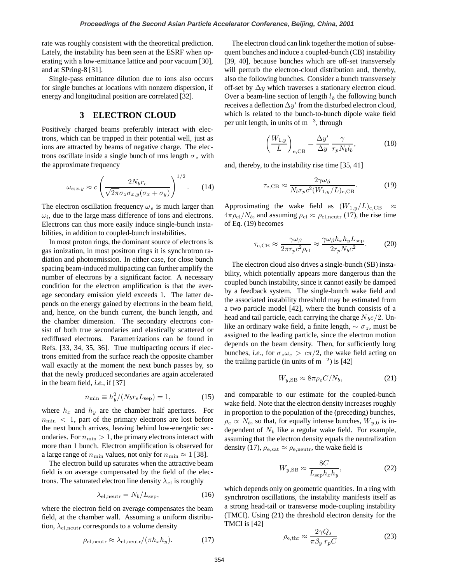rate was roughly consistent with the theoretical prediction. Lately, the instability has been seen at the ESRF when operating with a low-emittance lattice and poor vacuum [30], and at SPring-8 [31].

Single-pass emittance dilution due to ions also occurs for single bunches at locations with nonzero dispersion, if energy and longitudinal position are correlated [32].

# **3 ELECTRON CLOUD**

Positively charged beams preferably interact with electrons, which can be trapped in their potential well, just as ions are attracted by beams of negative charge. The electrons oscillate inside a single bunch of rms length  $\sigma_z$  with the approximate frequency

$$
\omega_{e;x,y} \approx c \left( \frac{2N_b r_e}{\sqrt{2\pi}\sigma_z \sigma_{x,y}(\sigma_x + \sigma_y)} \right)^{1/2}.
$$
 (14)

The electron oscillation frequency  $\omega_e$  is much larger than  $\omega_i$ , due to the large mass difference of ions and electrons. Electrons can thus more easily induce single-bunch instabilities, in addition to coupled-bunch instabilities.

In most proton rings, the dominant source of electrons is gas ionization, in most positron rings it is synchrotron radiation and photoemission. In either case, for close bunch spacing beam-induced multipacting can further amplify the number of electrons by a significant factor. A necessary condition for the electron amplification is that the average secondary emission yield exceeds 1. The latter depends on the energy gained by electrons in the beam field, and, hence, on the bunch current, the bunch length, and the chamber dimension. The secondary electrons consist of both true secondaries and elastically scattered or rediffused electrons. Parametrizations can be found in Refs. [33, 34, 35, 36]. True multipacting occurs if electrons emitted from the surface reach the opposite chamber wall exactly at the moment the next bunch passes by, so that the newly produced secondaries are again accelerated in the beam field, *i.e.*, if [37]

$$
n_{\min} \equiv h_y^2/(N_b r_e L_{\rm sep}) = 1,
$$
\n(15)

where  $h_x$  and  $h_y$  are the chamber half apertures. For  $n_{\text{min}} < 1$ , part of the primary electrons are lost before the next bunch arrives, leaving behind low-energetic secondaries. For  $n_{\min} > 1$ , the primary electrons interact with more than 1 bunch. Electron amplification is observed for a large range of  $n_{\min}$  values, not only for  $n_{\min} \approx 1$  [38].

The electron build up saturates when the attractive beam field is on average compensated by the field of the electrons. The saturated electron line density  $\lambda_{el}$  is roughly

$$
\lambda_{\rm el,neutr} = N_b / L_{\rm sep},\tag{16}
$$

where the electron field on average compensates the beam field, at the chamber wall. Assuming a uniform distribution,  $\lambda_{el,neutr}$  corresponds to a volume density

$$
\rho_{\text{el,neutr}} \approx \lambda_{\text{el,neutr}} / (\pi h_x h_y). \tag{17}
$$

The electron cloud can link together the motion of subsequent bunches and induce a coupled-bunch (CB) instability [39, 40], because bunches which are off-set transversely will perturb the electron-cloud distribution and, thereby, also the following bunches. Consider a bunch transversely off-set by  $\Delta y$  which traverses a stationary electron cloud. Over a beam-line section of length  $l<sub>b</sub>$  the following bunch receives a deflection  $\Delta y'$  from the disturbed electron cloud, which is related to the bunch-to-bunch dipole wake field per unit length, in units of  $m^{-3}$ , through

$$
\left(\frac{W_{1,y}}{L}\right)_{e,\text{CB}} = \frac{\Delta y'}{\Delta y} \frac{\gamma}{r_p N_b l_b},\tag{18}
$$

and, thereby, to the instability rise time [35, 41]

$$
\tau_{\rm e, CB} \approx \frac{2\gamma\omega_{\beta}}{N_b r_p c^2 (W_{1,y}/L)_{\rm e, CB}}.\tag{19}
$$

Approximating the wake field as  $(W_{1,y}/L)_{e,\text{CB}} \approx$  $4\pi\rho_{\rm el}/N_b$ , and assuming  $\rho_{\rm el} \approx \rho_{\rm el,neutr}$  (17), the rise time of Eq. (19) becomes

$$
\tau_{\rm e, CB} \approx \frac{\gamma \omega_{\beta}}{2\pi r_p c^2 \rho_{\rm el}} \approx \frac{\gamma \omega_{\beta} h_x h_y L_{\rm sep}}{2r_p N_b c^2}.
$$
 (20)

The electron cloud also drives a single-bunch (SB) instability, which potentially appears more dangerous than the coupled bunch instability, since it cannot easily be damped by a feedback system. The single-bunch wake field and the associated instability threshold may be estimated from a two particle model [42], where the bunch consists of a head and tail particle, each carrying the charge  $N_b e/2$ . Unlike an ordinary wake field, a finite length,  $\sim \sigma_z$ , must be assigned to the leading particle, since the electron motion depends on the beam density. Then, for sufficiently long bunches, *i.e.*, for  $\sigma_z \omega_e > c\pi/2$ , the wake field acting on the trailing particle (in units of  $m^{-2}$ ) is [42]

$$
W_{y, \text{SB}} \approx 8\pi \rho_e C / N_b,\tag{21}
$$

and comparable to our estimate for the coupled-bunch wake field. Note that the electron density increases roughly in proportion to the population of the (preceding) bunches,  $\rho_e \propto N_b$ , so that, for equally intense bunches,  $W_{y,0}$  is independent of  $N_b$  like a regular wake field. For example, assuming that the electron density equals the neutralization density (17),  $\rho_{\rm e,sat} \approx \rho_{\rm e,neutr}$ , the wake field is

$$
W_{y, \text{SB}} \approx \frac{8C}{L_{\text{sep}} h_x h_y},\tag{22}
$$

which depends only on geometric quantities. In a ring with synchrotron oscillations, the instability manifests itself as a strong head-tail or transverse mode-coupling instability (TMCI). Using (21) the threshold electron density for the TMCI is [42]

$$
\rho_{\rm e,thr} \approx \frac{2\gamma Q_s}{\pi \beta_y \ r_p C} \tag{23}
$$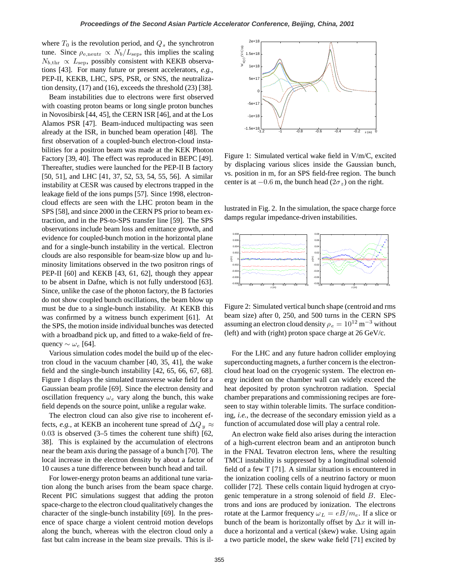where  $T_0$  is the revolution period, and  $Q_s$  the synchrotron tune. Since  $\rho_{e,neutr} \propto N_b/L_{sep}$ , this implies the scaling  $N_{b,\text{thr}} \propto L_{\text{sep}}$ , possibly consistent with KEKB observations [43]. For many future or present accelerators, *e.g.*, PEP-II, KEKB, LHC, SPS, PSR, or SNS, the neutralization density, (17) and (16), exceeds the threshold (23) [38].

Beam instabilities due to electrons were first observed with coasting proton beams or long single proton bunches in Novosibirsk [44, 45], the CERN ISR [46], and at the Los Alamos PSR [47]. Beam-induced multipacting was seen already at the ISR, in bunched beam operation [48]. The first observation of a coupled-bunch electron-cloud instabilities for a positron beam was made at the KEK Photon Factory [39, 40]. The effect was reproduced in BEPC [49]. Thereafter, studies were launched for the PEP-II B factory [50, 51], and LHC [41, 37, 52, 53, 54, 55, 56]. A similar instability at CESR was caused by electrons trapped in the leakage field of the ions pumps [57]. Since 1998, electroncloud effects are seen with the LHC proton beam in the SPS [58], and since 2000 in the CERN PS prior to beam extraction, and in the PS-to-SPS transfer line [59]. The SPS observations include beam loss and emittance growth, and evidence for coupled-bunch motion in the horizontal plane and for a single-bunch instability in the vertical. Electron clouds are also responsible for beam-size blow up and luminosity limitations observed in the two positron rings of PEP-II [60] and KEKB [43, 61, 62], though they appear to be absent in Dafne, which is not fully understood [63]. Since, unlike the case of the photon factory, the B factories do not show coupled bunch oscillations, the beam blow up must be due to a single-bunch instability. At KEKB this was confirmed by a witness bunch experiment [61]. At the SPS, the motion inside individual bunches was detected with a broadband pick up, and fitted to a wake-field of frequency  $\sim \omega_e$  [64].

Various simulation codes model the build up of the electron cloud in the vacuum chamber [40, 35, 41], the wake field and the single-bunch instability [42, 65, 66, 67, 68]. Figure 1 displays the simulated transverse wake field for a Gaussian beam profile [69]. Since the electron density and oscillation frequency  $\omega_e$  vary along the bunch, this wake field depends on the source point, unlike a regular wake.

The electron cloud can also give rise to incoherent effects, *e.g.*, at KEKB an incoherent tune spread of  $\Delta Q_y \approx$ 0.03 is observed (3–5 times the coherent tune shift) [62, 38]. This is explained by the accumulation of electrons near the beam axis during the passage of a bunch [70]. The local increase in the electron density by about a factor of 10 causes a tune difference between bunch head and tail.

For lower-energy proton beams an additional tune variation along the bunch arises from the beam space charge. Recent PIC simulations suggest that adding the proton space-charge to the electron cloud qualitatively changes the character of the single-bunch instability [69]. In the presence of space charge a violent centroid motion develops along the bunch, whereas with the electron cloud only a fast but calm increase in the beam size prevails. This is il-



Figure 1: Simulated vertical wake field in V/m/C, excited by displacing various slices inside the Gaussian bunch, vs. position in m, for an SPS field-free region. The bunch center is at  $-0.6$  m, the bunch head  $(2\sigma_z)$  on the right.

lustrated in Fig. 2. In the simulation, the space charge force damps regular impedance-driven instabilities.



Figure 2: Simulated vertical bunch shape (centroid and rms beam size) after 0, 250, and 500 turns in the CERN SPS assuming an electron cloud density  $\rho_e = 10^{12} \text{ m}^{-3}$  without (left) and with (right) proton space charge at  $26 \text{ GeV/c}$ .

For the LHC and any future hadron collider employing superconducting magnets, a further concern is the electroncloud heat load on the cryogenic system. The electron energy incident on the chamber wall can widely exceed the heat deposited by proton synchrotron radiation. Special chamber preparations and commissioning recipes are foreseen to stay within tolerable limits. The surface conditioning, *i.e.*, the decrease of the secondary emission yield as a function of accumulated dose will play a central role.

An electron wake field also arises during the interaction of a high-current electron beam and an antiproton bunch in the FNAL Tevatron electron lens, where the resulting TMCI instability is suppressed by a longitudinal solenoid field of a few T [71]. A similar situation is encountered in the ionization cooling cells of a neutrino factory or muon collider [72]. These cells contain liquid hydrogen at cryogenic temperature in a strong solenoid of field B. Electrons and ions are produced by ionization. The electrons rotate at the Larmor frequency  $\omega_L = eB/m_e$ . If a slice or bunch of the beam is horizontally offset by  $\Delta x$  it will induce a horizontal and a vertical (skew) wake. Using again a two particle model, the skew wake field [71] excited by